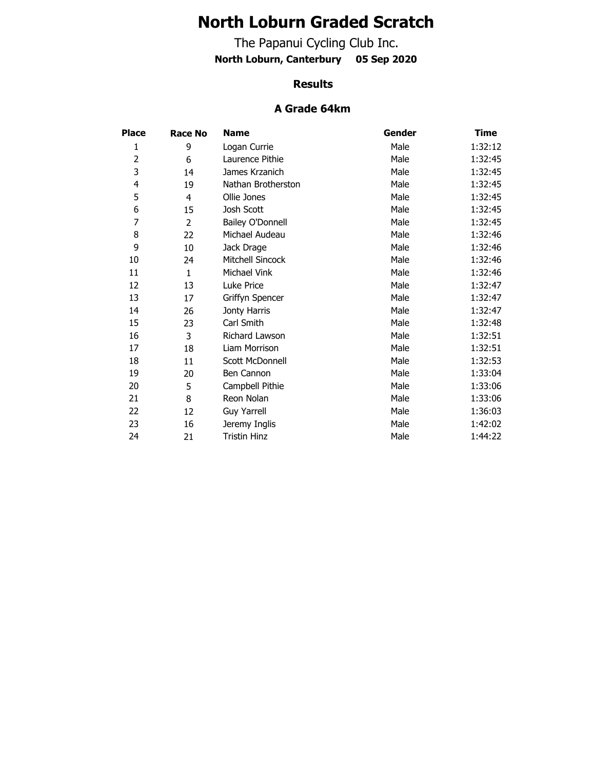# **North Loburn Graded Scratch**

The Papanui Cycling Club Inc. **North Loburn, Canterbury 05 Sep 2020**

#### **Results**

#### **A Grade 64km**

| <b>Place</b> | Race No        | <b>Name</b>         | Gender | Time    |
|--------------|----------------|---------------------|--------|---------|
| 1            | 9              | Logan Currie        | Male   | 1:32:12 |
| 2            | 6              | Laurence Pithie     | Male   | 1:32:45 |
| 3            | 14             | James Krzanich      | Male   | 1:32:45 |
| 4            | 19             | Nathan Brotherston  | Male   | 1:32:45 |
| 5            | 4              | Ollie Jones         | Male   | 1:32:45 |
| 6            | 15             | Josh Scott          | Male   | 1:32:45 |
| 7            | $\overline{2}$ | Bailey O'Donnell    | Male   | 1:32:45 |
| 8            | 22             | Michael Audeau      | Male   | 1:32:46 |
| 9            | 10             | Jack Drage          | Male   | 1:32:46 |
| 10           | 24             | Mitchell Sincock    | Male   | 1:32:46 |
| 11           | $\mathbf{1}$   | Michael Vink        | Male   | 1:32:46 |
| 12           | 13             | Luke Price          | Male   | 1:32:47 |
| 13           | 17             | Griffyn Spencer     | Male   | 1:32:47 |
| 14           | 26             | Jonty Harris        | Male   | 1:32:47 |
| 15           | 23             | Carl Smith          | Male   | 1:32:48 |
| 16           | 3              | Richard Lawson      | Male   | 1:32:51 |
| 17           | 18             | Liam Morrison       | Male   | 1:32:51 |
| 18           | 11             | Scott McDonnell     | Male   | 1:32:53 |
| 19           | 20             | Ben Cannon          | Male   | 1:33:04 |
| 20           | 5              | Campbell Pithie     | Male   | 1:33:06 |
| 21           | 8              | Reon Nolan          | Male   | 1:33:06 |
| 22           | 12             | <b>Guy Yarrell</b>  | Male   | 1:36:03 |
| 23           | 16             | Jeremy Inglis       | Male   | 1:42:02 |
| 24           | 21             | <b>Tristin Hinz</b> | Male   | 1:44:22 |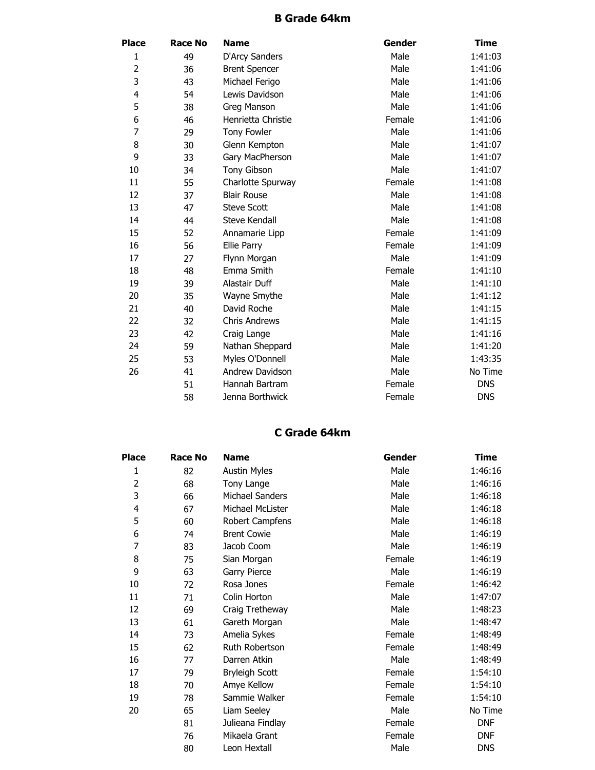# **B Grade 64km**

| <b>Place</b>   | <b>Race No</b> | <b>Name</b>          | Gender | <b>Time</b> |
|----------------|----------------|----------------------|--------|-------------|
| 1              | 49             | D'Arcy Sanders       | Male   | 1:41:03     |
| 2              | 36             | <b>Brent Spencer</b> | Male   | 1:41:06     |
| 3              | 43             | Michael Ferigo       | Male   | 1:41:06     |
| 4              | 54             | Lewis Davidson       | Male   | 1:41:06     |
| 5              | 38             | Greg Manson          | Male   | 1:41:06     |
| 6              | 46             | Henrietta Christie   | Female | 1:41:06     |
| $\overline{7}$ | 29             | <b>Tony Fowler</b>   | Male   | 1:41:06     |
| 8              | 30             | Glenn Kempton        | Male   | 1:41:07     |
| 9              | 33             | Gary MacPherson      | Male   | 1:41:07     |
| 10             | 34             | <b>Tony Gibson</b>   | Male   | 1:41:07     |
| 11             | 55             | Charlotte Spurway    | Female | 1:41:08     |
| 12             | 37             | <b>Blair Rouse</b>   | Male   | 1:41:08     |
| 13             | 47             | <b>Steve Scott</b>   | Male   | 1:41:08     |
| 14             | 44             | Steve Kendall        | Male   | 1:41:08     |
| 15             | 52             | Annamarie Lipp       | Female | 1:41:09     |
| 16             | 56             | Ellie Parry          | Female | 1:41:09     |
| 17             | 27             | Flynn Morgan         | Male   | 1:41:09     |
| 18             | 48             | Emma Smith           | Female | 1:41:10     |
| 19             | 39             | Alastair Duff        | Male   | 1:41:10     |
| 20             | 35             | Wayne Smythe         | Male   | 1:41:12     |
| 21             | 40             | David Roche          | Male   | 1:41:15     |
| 22             | 32             | <b>Chris Andrews</b> | Male   | 1:41:15     |
| 23             | 42             | Craig Lange          | Male   | 1:41:16     |
| 24             | 59             | Nathan Sheppard      | Male   | 1:41:20     |
| 25             | 53             | Myles O'Donnell      | Male   | 1:43:35     |
| 26             | 41             | Andrew Davidson      | Male   | No Time     |
|                | 51             | Hannah Bartram       | Female | <b>DNS</b>  |
|                | 58             | Jenna Borthwick      | Female | <b>DNS</b>  |

# **C Grade 64km**

| <b>Place</b>   | <b>Race No</b> | <b>Name</b>            | Gender | Time       |
|----------------|----------------|------------------------|--------|------------|
| 1              | 82             | <b>Austin Myles</b>    | Male   | 1:46:16    |
| $\overline{2}$ | 68             | Tony Lange             | Male   | 1:46:16    |
| 3              | 66             | <b>Michael Sanders</b> | Male   | 1:46:18    |
| 4              | 67             | Michael McLister       | Male   | 1:46:18    |
| 5              | 60             | Robert Campfens        | Male   | 1:46:18    |
| 6              | 74             | <b>Brent Cowie</b>     | Male   | 1:46:19    |
| 7              | 83             | Jacob Coom             | Male   | 1:46:19    |
| 8              | 75             | Sian Morgan            | Female | 1:46:19    |
| 9              | 63             | Garry Pierce           | Male   | 1:46:19    |
| 10             | 72             | Rosa Jones             | Female | 1:46:42    |
| 11             | 71             | Colin Horton           | Male   | 1:47:07    |
| 12             | 69             | Craig Tretheway        | Male   | 1:48:23    |
| 13             | 61             | Gareth Morgan          | Male   | 1:48:47    |
| 14             | 73             | Amelia Sykes           | Female | 1:48:49    |
| 15             | 62             | Ruth Robertson         | Female | 1:48:49    |
| 16             | 77             | Darren Atkin           | Male   | 1:48:49    |
| 17             | 79             | <b>Bryleigh Scott</b>  | Female | 1:54:10    |
| 18             | 70             | Amye Kellow            | Female | 1:54:10    |
| 19             | 78             | Sammie Walker          | Female | 1:54:10    |
| 20             | 65             | Liam Seeley            | Male   | No Time    |
|                | 81             | Julieana Findlay       | Female | <b>DNF</b> |
|                | 76             | Mikaela Grant          | Female | <b>DNF</b> |
|                | 80             | Leon Hextall           | Male   | <b>DNS</b> |